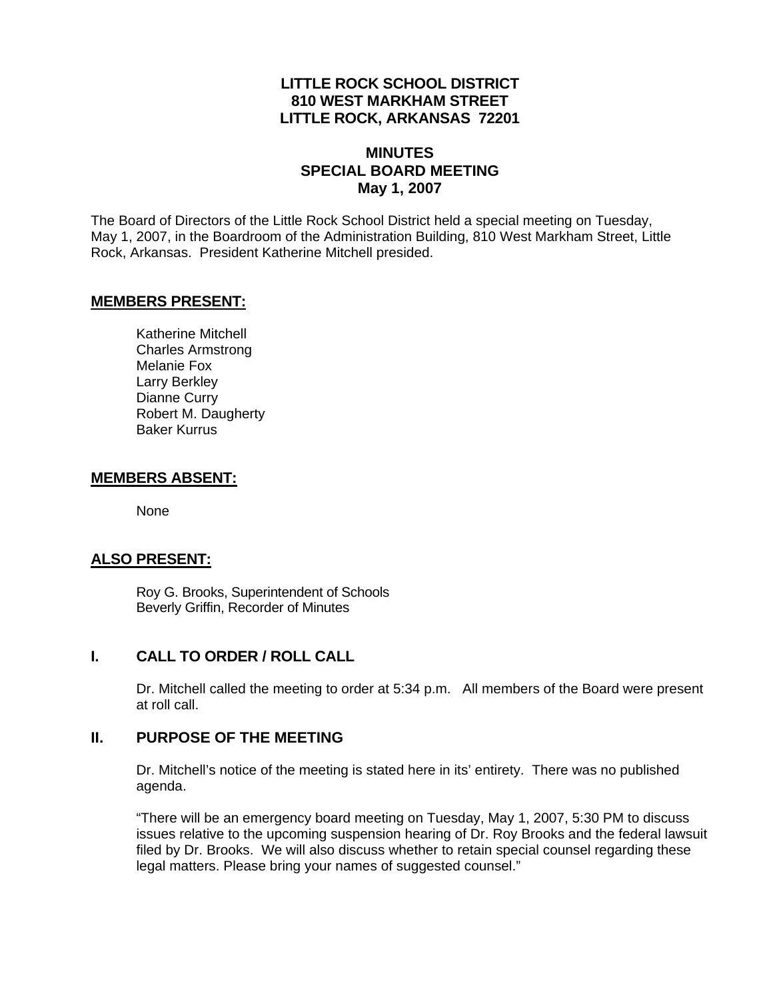## **LITTLE ROCK SCHOOL DISTRICT 810 WEST MARKHAM STREET LITTLE ROCK, ARKANSAS 72201**

### **MINUTES SPECIAL BOARD MEETING May 1, 2007**

The Board of Directors of the Little Rock School District held a special meeting on Tuesday, May 1, 2007, in the Boardroom of the Administration Building, 810 West Markham Street, Little Rock, Arkansas. President Katherine Mitchell presided.

### **MEMBERS PRESENT:**

Katherine Mitchell Charles Armstrong Melanie Fox Larry Berkley Dianne Curry Robert M. Daugherty Baker Kurrus

### **MEMBERS ABSENT:**

None

## **ALSO PRESENT:**

 Roy G. Brooks, Superintendent of Schools Beverly Griffin, Recorder of Minutes

## **I. CALL TO ORDER / ROLL CALL**

Dr. Mitchell called the meeting to order at 5:34 p.m. All members of the Board were present at roll call.

#### **II. PURPOSE OF THE MEETING**

Dr. Mitchell's notice of the meeting is stated here in its' entirety. There was no published agenda.

"There will be an emergency board meeting on Tuesday, May 1, 2007, 5:30 PM to discuss issues relative to the upcoming suspension hearing of Dr. Roy Brooks and the federal lawsuit filed by Dr. Brooks. We will also discuss whether to retain special counsel regarding these legal matters. Please bring your names of suggested counsel."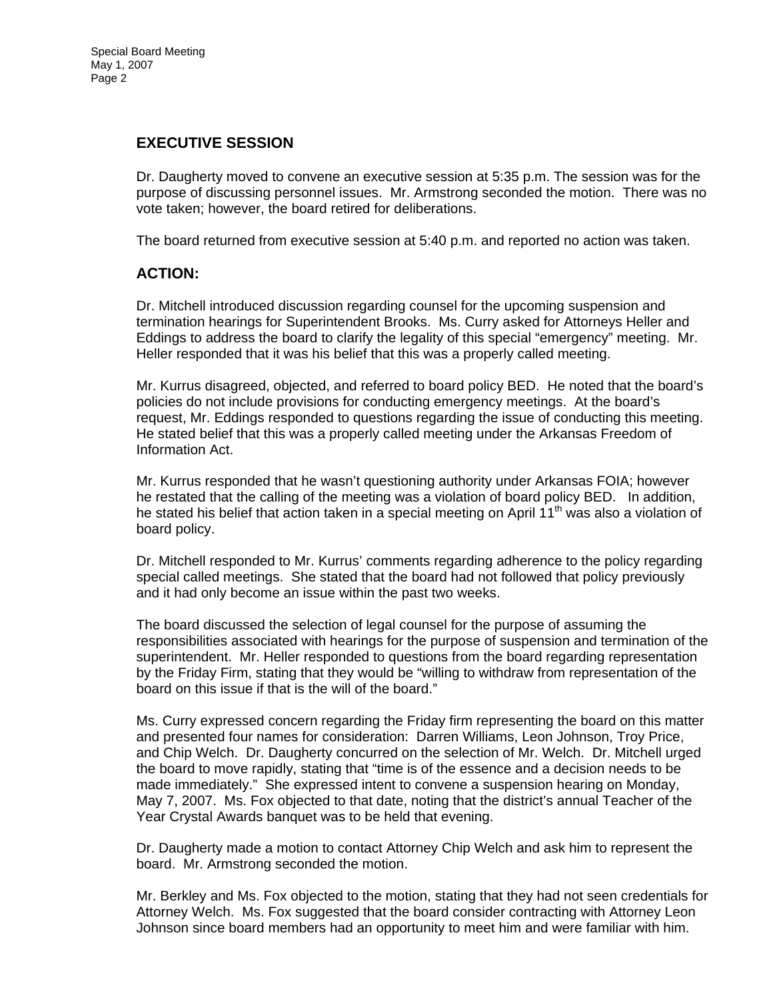# **EXECUTIVE SESSION**

Dr. Daugherty moved to convene an executive session at 5:35 p.m. The session was for the purpose of discussing personnel issues. Mr. Armstrong seconded the motion. There was no vote taken; however, the board retired for deliberations.

The board returned from executive session at 5:40 p.m. and reported no action was taken.

### **ACTION:**

Dr. Mitchell introduced discussion regarding counsel for the upcoming suspension and termination hearings for Superintendent Brooks. Ms. Curry asked for Attorneys Heller and Eddings to address the board to clarify the legality of this special "emergency" meeting. Mr. Heller responded that it was his belief that this was a properly called meeting.

Mr. Kurrus disagreed, objected, and referred to board policy BED. He noted that the board's policies do not include provisions for conducting emergency meetings. At the board's request, Mr. Eddings responded to questions regarding the issue of conducting this meeting. He stated belief that this was a properly called meeting under the Arkansas Freedom of Information Act.

Mr. Kurrus responded that he wasn't questioning authority under Arkansas FOIA; however he restated that the calling of the meeting was a violation of board policy BED. In addition, he stated his belief that action taken in a special meeting on April  $11<sup>th</sup>$  was also a violation of board policy.

Dr. Mitchell responded to Mr. Kurrus' comments regarding adherence to the policy regarding special called meetings. She stated that the board had not followed that policy previously and it had only become an issue within the past two weeks.

The board discussed the selection of legal counsel for the purpose of assuming the responsibilities associated with hearings for the purpose of suspension and termination of the superintendent. Mr. Heller responded to questions from the board regarding representation by the Friday Firm, stating that they would be "willing to withdraw from representation of the board on this issue if that is the will of the board."

Ms. Curry expressed concern regarding the Friday firm representing the board on this matter and presented four names for consideration: Darren Williams, Leon Johnson, Troy Price, and Chip Welch. Dr. Daugherty concurred on the selection of Mr. Welch. Dr. Mitchell urged the board to move rapidly, stating that "time is of the essence and a decision needs to be made immediately." She expressed intent to convene a suspension hearing on Monday, May 7, 2007. Ms. Fox objected to that date, noting that the district's annual Teacher of the Year Crystal Awards banquet was to be held that evening.

Dr. Daugherty made a motion to contact Attorney Chip Welch and ask him to represent the board. Mr. Armstrong seconded the motion.

Mr. Berkley and Ms. Fox objected to the motion, stating that they had not seen credentials for Attorney Welch. Ms. Fox suggested that the board consider contracting with Attorney Leon Johnson since board members had an opportunity to meet him and were familiar with him.